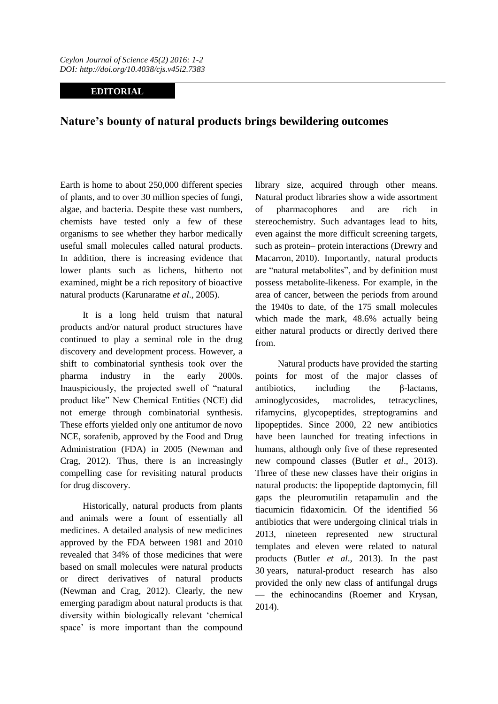## **EDITORIAL**

## **Nature's bounty of natural products brings bewildering outcomes**

Earth is home to about 250,000 different species of plants, and to over 30 million species of fungi, algae, and bacteria. Despite these vast numbers, chemists have tested only a few of these organisms to see whether they harbor medically useful small molecules called natural products. In addition, there is increasing evidence that lower plants such as lichens, hitherto not examined, might be a rich repository of bioactive natural products (Karunaratne *et al*., 2005).

It is a long held truism that natural products and/or natural product structures have continued to play a seminal role in the drug discovery and development process. However, a shift to combinatorial synthesis took over the pharma industry in the early 2000s. Inauspiciously, the projected swell of "natural product like" New Chemical Entities (NCE) did not emerge through combinatorial synthesis. These efforts yielded only one antitumor de novo NCE, sorafenib, approved by the Food and Drug Administration (FDA) in 2005 (Newman and Crag, 2012). Thus, there is an increasingly compelling case for revisiting natural products for drug discovery.

Historically, natural products from plants and animals were a fount of essentially all medicines. A detailed analysis of new medicines approved by the FDA between 1981 and 2010 revealed that 34% of those medicines that were based on small molecules were natural products or direct derivatives of natural products (Newman and Crag, 2012). Clearly, the new emerging paradigm about natural products is that diversity within biologically relevant 'chemical space' is more important than the compound library size, acquired through other means. Natural product libraries show a wide assortment of pharmacophores and are rich in stereochemistry. Such advantages lead to hits, even against the more difficult screening targets, such as protein– protein interactions (Drewry and Macarron, 2010). Importantly, natural products are "natural metabolites", and by definition must possess metabolite-likeness. For example, in the area of cancer, between the periods from around the 1940s to date, of the 175 small molecules which made the mark, 48.6% actually being either natural products or directly derived there from.

Natural products have provided the starting points for most of the major classes of antibiotics, including the β-lactams, aminoglycosides, macrolides, tetracyclines, rifamycins, glycopeptides, streptogramins and lipopeptides. Since 2000, 22 new antibiotics have been launched for treating infections in humans, although only five of these represented new compound classes (Butler *et al*., 2013). Three of these new classes have their origins in natural products: the lipopeptide daptomycin, fill gaps the pleuromutilin retapamulin and the tiacumicin fidaxomicin. Of the identified 56 antibiotics that were undergoing clinical trials in 2013, nineteen represented new structural templates and eleven were related to natural products (Butler *et al*., 2013). In the past 30 years, natural-product research has also provided the only new class of antifungal drugs — the echinocandins (Roemer and Krysan, 2014).